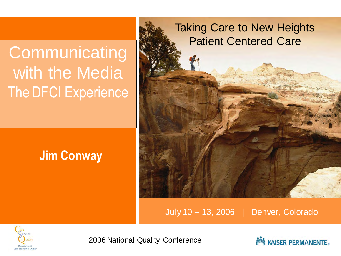### **Communicating** with the Media The DFCI Experience

#### **Jim Conway**

#### Taking Care to New Heights Patient Centered Care

July 10 – 13, 2006 | Denver, Colorado



2006 National Quality Conference

**KAISER PERMANENTE.**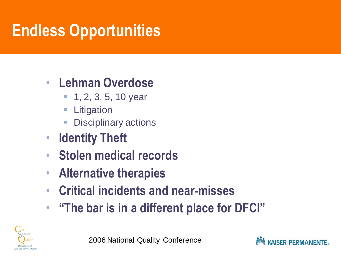### **Endless Opportunities**

#### • **Lehman Overdose**

- **1, 2, 3, 5, 10 year**
- **Example 1** Litigation
- Disciplinary actions
- **Identity Theft**
- **Stolen medical records**
- **Alternative therapies**
- **Critical incidents and near-misses**
- **"The bar is in a different place for DFCI"**



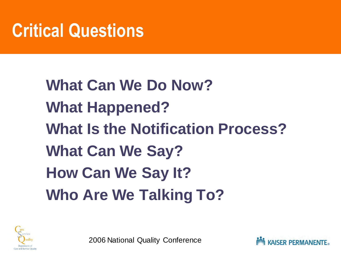### **Critical Questions**

**What Can We Do Now? What Happened? What Is the Notification Process? What Can We Say? How Can We Say It? Who Are We Talking To?**



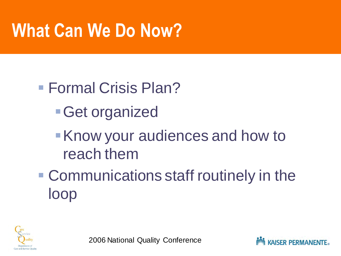## **What Can We Do Now?**

#### ■ Formal Crisis Plan?

- Get organized
- Know your audiences and how to reach them
- Communications staff routinely in the loop



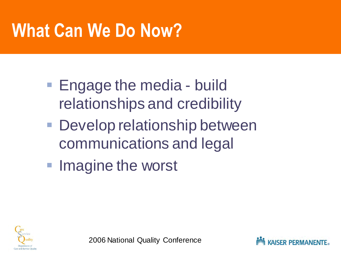## **What Can We Do Now?**

- Engage the media build relationships and credibility
- Develop relationship between communications and legal
- **Imagine the worst**



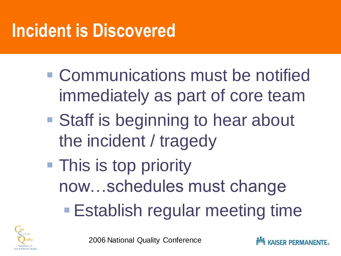## **Incident is Discovered**

- Communications must be notified immediately as part of core team
- Staff is beginning to hear about the incident / tragedy
- **This is top priority** now…schedules must change
	- **Establish regular meeting time**



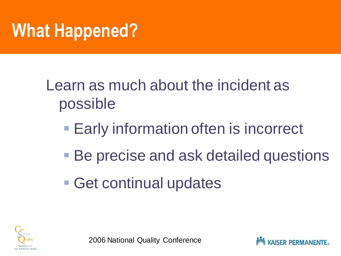## **What Happened?**

#### Learn as much about the incident as possible

- Early information often is incorrect
- Be precise and ask detailed questions
- Get continual updates



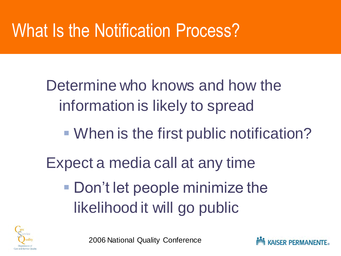### What Is the Notification Process?

Determine who knows and how the information is likely to spread

When is the first public notification?

Expect a media call at any time

**• Don't let people minimize the** likelihood it will go public



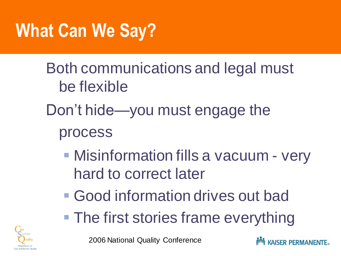## **What Can We Say?**

- Both communications and legal must be flexible
- Don't hide—you must engage the
	- process
		- **Misinformation fills a vacuum very** hard to correct later
		- Good information drives out bad
		- **The first stories frame everything**



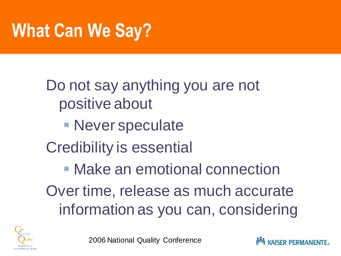# **What Can We Say?**

Do not say anything you are not positive about **Never speculate** Credibility is essential ■ Make an emotional connection Over time, release as much accurate information as you can, considering



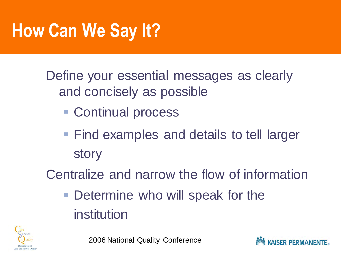# **How Can We Say It?**

Define your essential messages as clearly and concisely as possible

- Continual process
- **Find examples and details to tell larger** story

Centralize and narrow the flow of information

■ Determine who will speak for the institution



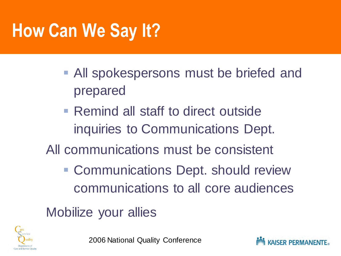# **How Can We Say It?**

- **All spokespersons must be briefed and** prepared
- **Remind all staff to direct outside** inquiries to Communications Dept.
- All communications must be consistent
	- **EXCOMMUNICATIONS Dept. should review** communications to all core audiences
- Mobilize your allies



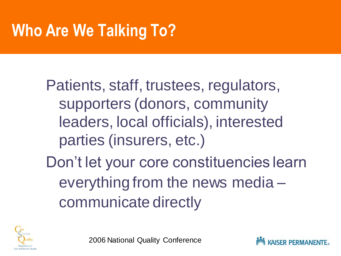### **Who Are We Talking To?**

Patients, staff, trustees, regulators, supporters (donors, community leaders, local officials), interested parties (insurers, etc.)

Don't let your core constituencies learn everything from the news media – communicate directly



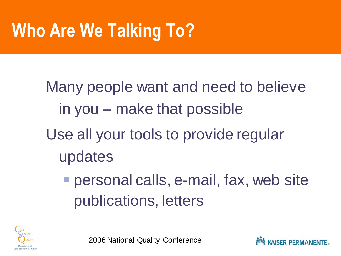# **Who Are We Talking To?**

Many people want and need to believe in you – make that possible Use all your tools to provide regular updates

 personal calls, e-mail, fax, web site publications, letters



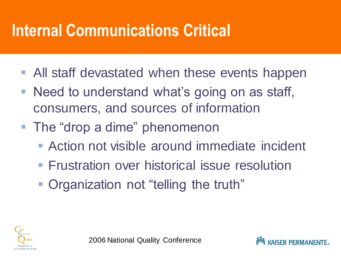#### **Internal Communications Critical**

- **All staff devastated when these events happen**
- Need to understand what's going on as staff, consumers, and sources of information
- The "drop a dime" phenomenon
	- **Action not visible around immediate incident**
	- **Frustration over historical issue resolution**
	- Organization not "telling the truth"



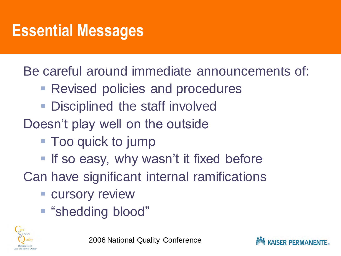#### **Essential Messages**

Be careful around immediate announcements of:

- **Revised policies and procedures**
- **Disciplined the staff involved**
- Doesn't play well on the outside
	- Too quick to jump
	- **If so easy, why wasn't it fixed before**

Can have significant internal ramifications

- **Exercise Cursory review**
- "shedding blood"



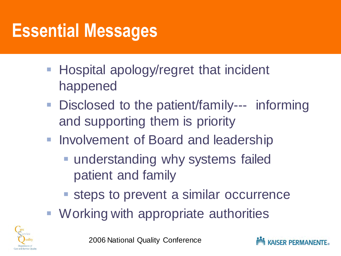## **Essential Messages**

- Hospital apology/regret that incident happened
- Disclosed to the patient/family--- informing and supporting them is priority
- **Involvement of Board and leadership** 
	- **understanding why systems failed** patient and family
	- **steps to prevent a similar occurrence**
- **Working with appropriate authorities**



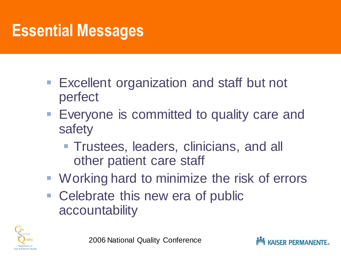#### **Essential Messages**

- Excellent organization and staff but not perfect
- **Everyone is committed to quality care and** safety
	- **Trustees, leaders, clinicians, and all** other patient care staff
- Working hard to minimize the risk of errors
- Celebrate this new era of public accountability



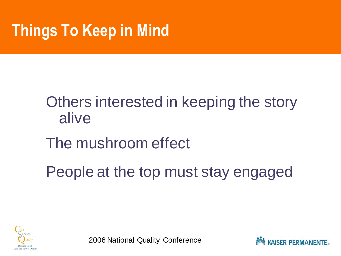### **Things To Keep in Mind**

#### Others interested in keeping the story alive

#### The mushroom effect

People at the top must stay engaged